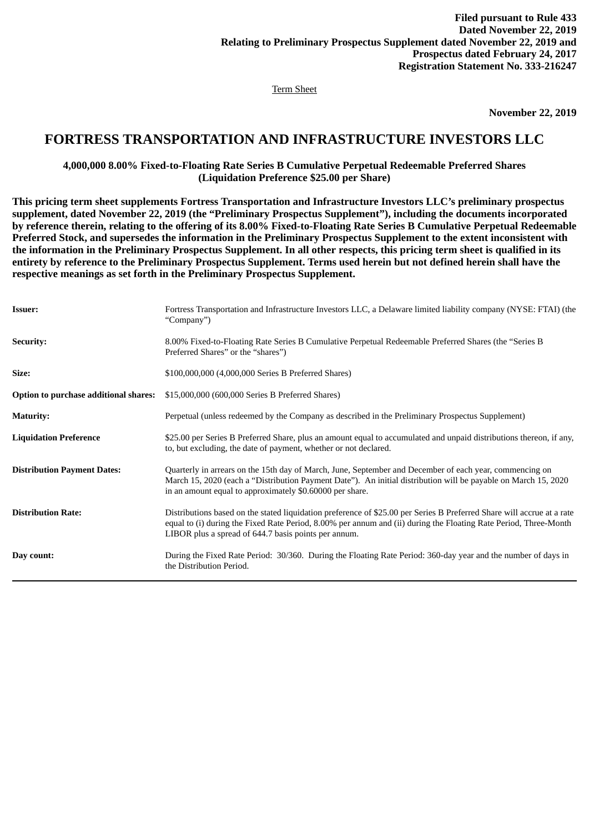Term Sheet

**November 22, 2019**

## **FORTRESS TRANSPORTATION AND INFRASTRUCTURE INVESTORS LLC**

**4,000,000 8.00% Fixed-to-Floating Rate Series B Cumulative Perpetual Redeemable Preferred Shares (Liquidation Preference \$25.00 per Share)**

**This pricing term sheet supplements Fortress Transportation and Infrastructure Investors LLC's preliminary prospectus supplement, dated November 22, 2019 (the "Preliminary Prospectus Supplement"), including the documents incorporated by reference therein, relating to the offering of its 8.00% Fixed-to-Floating Rate Series B Cumulative Perpetual Redeemable Preferred Stock, and supersedes the information in the Preliminary Prospectus Supplement to the extent inconsistent with the information in the Preliminary Prospectus Supplement. In all other respects, this pricing term sheet is qualified in its entirety by reference to the Preliminary Prospectus Supplement. Terms used herein but not defined herein shall have the respective meanings as set forth in the Preliminary Prospectus Supplement.**

| <b>Issuer:</b>                        | Fortress Transportation and Infrastructure Investors LLC, a Delaware limited liability company (NYSE: FTAI) (the<br>"Company")                                                                                                                                                                     |
|---------------------------------------|----------------------------------------------------------------------------------------------------------------------------------------------------------------------------------------------------------------------------------------------------------------------------------------------------|
| <b>Security:</b>                      | 8.00% Fixed-to-Floating Rate Series B Cumulative Perpetual Redeemable Preferred Shares (the "Series B<br>Preferred Shares" or the "shares")                                                                                                                                                        |
| Size:                                 | \$100,000,000 (4,000,000 Series B Preferred Shares)                                                                                                                                                                                                                                                |
| Option to purchase additional shares: | \$15,000,000 (600,000 Series B Preferred Shares)                                                                                                                                                                                                                                                   |
| <b>Maturity:</b>                      | Perpetual (unless redeemed by the Company as described in the Preliminary Prospectus Supplement)                                                                                                                                                                                                   |
| <b>Liquidation Preference</b>         | \$25.00 per Series B Preferred Share, plus an amount equal to accumulated and unpaid distributions thereon, if any,<br>to, but excluding, the date of payment, whether or not declared.                                                                                                            |
| <b>Distribution Payment Dates:</b>    | Quarterly in arrears on the 15th day of March, June, September and December of each year, commencing on<br>March 15, 2020 (each a "Distribution Payment Date"). An initial distribution will be payable on March 15, 2020<br>in an amount equal to approximately \$0.60000 per share.              |
| <b>Distribution Rate:</b>             | Distributions based on the stated liquidation preference of \$25.00 per Series B Preferred Share will accrue at a rate<br>equal to (i) during the Fixed Rate Period, 8.00% per annum and (ii) during the Floating Rate Period, Three-Month<br>LIBOR plus a spread of 644.7 basis points per annum. |
| Day count:                            | During the Fixed Rate Period: 30/360. During the Floating Rate Period: 360-day year and the number of days in<br>the Distribution Period.                                                                                                                                                          |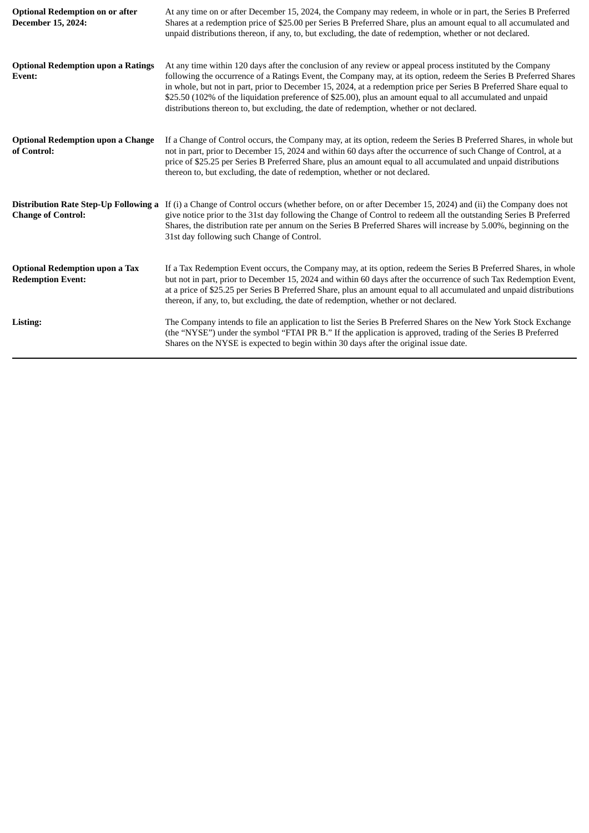| <b>Optional Redemption on or after</b><br>December 15, 2024:      | At any time on or after December 15, 2024, the Company may redeem, in whole or in part, the Series B Preferred<br>Shares at a redemption price of \$25.00 per Series B Preferred Share, plus an amount equal to all accumulated and<br>unpaid distributions thereon, if any, to, but excluding, the date of redemption, whether or not declared.                                                                                                                                                                                                                  |
|-------------------------------------------------------------------|-------------------------------------------------------------------------------------------------------------------------------------------------------------------------------------------------------------------------------------------------------------------------------------------------------------------------------------------------------------------------------------------------------------------------------------------------------------------------------------------------------------------------------------------------------------------|
| <b>Optional Redemption upon a Ratings</b><br>Event:               | At any time within 120 days after the conclusion of any review or appeal process instituted by the Company<br>following the occurrence of a Ratings Event, the Company may, at its option, redeem the Series B Preferred Shares<br>in whole, but not in part, prior to December 15, 2024, at a redemption price per Series B Preferred Share equal to<br>\$25.50 (102% of the liquidation preference of \$25.00), plus an amount equal to all accumulated and unpaid<br>distributions thereon to, but excluding, the date of redemption, whether or not declared. |
| <b>Optional Redemption upon a Change</b><br>of Control:           | If a Change of Control occurs, the Company may, at its option, redeem the Series B Preferred Shares, in whole but<br>not in part, prior to December 15, 2024 and within 60 days after the occurrence of such Change of Control, at a<br>price of \$25.25 per Series B Preferred Share, plus an amount equal to all accumulated and unpaid distributions<br>thereon to, but excluding, the date of redemption, whether or not declared.                                                                                                                            |
| <b>Change of Control:</b>                                         | Distribution Rate Step-Up Following a If (i) a Change of Control occurs (whether before, on or after December 15, 2024) and (ii) the Company does not<br>give notice prior to the 31st day following the Change of Control to redeem all the outstanding Series B Preferred<br>Shares, the distribution rate per annum on the Series B Preferred Shares will increase by 5.00%, beginning on the<br>31st day following such Change of Control.                                                                                                                    |
| <b>Optional Redemption upon a Tax</b><br><b>Redemption Event:</b> | If a Tax Redemption Event occurs, the Company may, at its option, redeem the Series B Preferred Shares, in whole<br>but not in part, prior to December 15, 2024 and within 60 days after the occurrence of such Tax Redemption Event,<br>at a price of \$25.25 per Series B Preferred Share, plus an amount equal to all accumulated and unpaid distributions<br>thereon, if any, to, but excluding, the date of redemption, whether or not declared.                                                                                                             |
| Listing:                                                          | The Company intends to file an application to list the Series B Preferred Shares on the New York Stock Exchange<br>(the "NYSE") under the symbol "FTAI PR B." If the application is approved, trading of the Series B Preferred<br>Shares on the NYSE is expected to begin within 30 days after the original issue date.                                                                                                                                                                                                                                          |